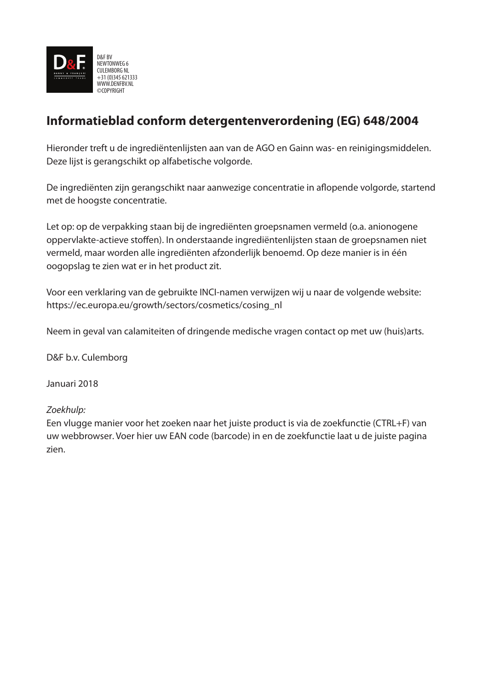

### **Informatieblad conform detergentenverordening (EG) 648/2004**

Hieronder treft u de ingrediëntenlijsten aan van de AGO en Gainn was- en reinigingsmiddelen. Deze lijst is gerangschikt op alfabetische volgorde.

De ingrediënten zijn gerangschikt naar aanwezige concentratie in aflopende volgorde, startend met de hoogste concentratie.

Let op: op de verpakking staan bij de ingrediënten groepsnamen vermeld (o.a. anionogene oppervlakte-actieve stoffen). In onderstaande ingrediëntenlijsten staan de groepsnamen niet vermeld, maar worden alle ingrediënten afzonderlijk benoemd. Op deze manier is in één oogopslag te zien wat er in het product zit.

Voor een verklaring van de gebruikte INCI-namen verwijzen wij u naar de volgende website: https://ec.europa.eu/growth/sectors/cosmetics/cosing\_nl

Neem in geval van calamiteiten of dringende medische vragen contact op met uw (huis)arts.

D&F b.v. Culemborg

Januari 2018

### *Zoekhulp:*

Een vlugge manier voor het zoeken naar het juiste product is via de zoekfunctie (CTRL+F) van uw webbrowser. Voer hier uw EAN code (barcode) in en de zoekfunctie laat u de juiste pagina zien.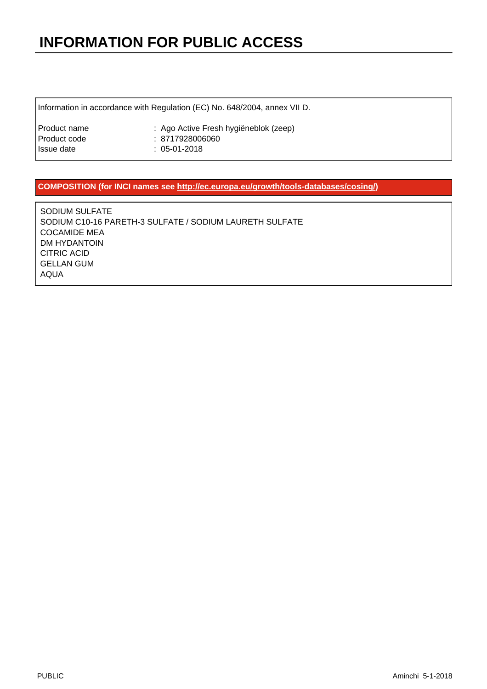Information in accordance with Regulation (EC) No. 648/2004, annex VII D.

| Product name | : Ago Active Fresh hygiëneblok (zeep) |
|--------------|---------------------------------------|
| Product code | : 8717928006060                       |
| Issue date   | : 05-01-2018                          |

#### **COMPOSITION (for INCI names see [http://ec.europa.eu/growth/tools-databases/cosing/\)](http://ec.europa.eu/growth/tools-databases/cosing/)**

SODIUM SULFATE SODIUM C10-16 PARETH-3 SULFATE / SODIUM LAURETH SULFATE COCAMIDE MEA DM HYDANTOIN CITRIC ACID GELLAN GUM AQUA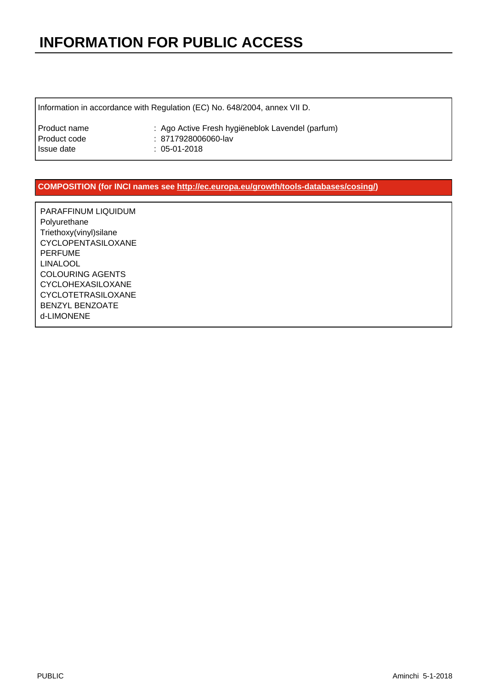Information in accordance with Regulation (EC) No. 648/2004, annex VII D.

| Product name | : Ago Active Fresh hygiëneblok Lavendel (parfum) |
|--------------|--------------------------------------------------|
| Product code | : 8717928006060-lav                              |
| Issue date   | : 05-01-2018                                     |

#### **COMPOSITION (for INCI names see [http://ec.europa.eu/growth/tools-databases/cosing/\)](http://ec.europa.eu/growth/tools-databases/cosing/)**

PARAFFINUM LIQUIDUM Polyurethane Triethoxy(vinyl)silane CYCLOPENTASILOXANE PERFUME LINALOOL COLOURING AGENTS CYCLOHEXASILOXANE CYCLOTETRASILOXANE BENZYL BENZOATE d-LIMONENE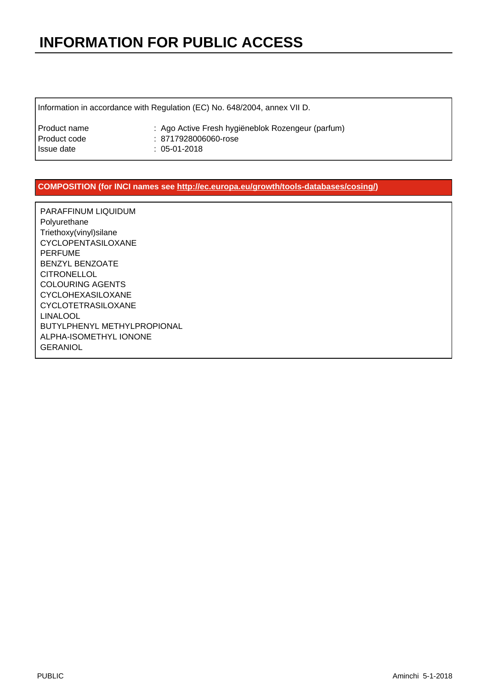Information in accordance with Regulation (EC) No. 648/2004, annex VII D.

| Product name | : Ago Active Fresh hygiëneblok Rozengeur (parfum) |
|--------------|---------------------------------------------------|
| Product code | : 8717928006060-rose                              |
| Issue date   | : 05-01-2018                                      |

#### **COMPOSITION (for INCI names see [http://ec.europa.eu/growth/tools-databases/cosing/\)](http://ec.europa.eu/growth/tools-databases/cosing/)**

PARAFFINUM LIQUIDUM Polyurethane Triethoxy(vinyl)silane CYCLOPENTASILOXANE PERFUME BENZYL BENZOATE **CITRONELLOL** COLOURING AGENTS CYCLOHEXASILOXANE CYCLOTETRASILOXANE LINALOOL BUTYLPHENYL METHYLPROPIONAL ALPHA-ISOMETHYL IONONE **GERANIOL**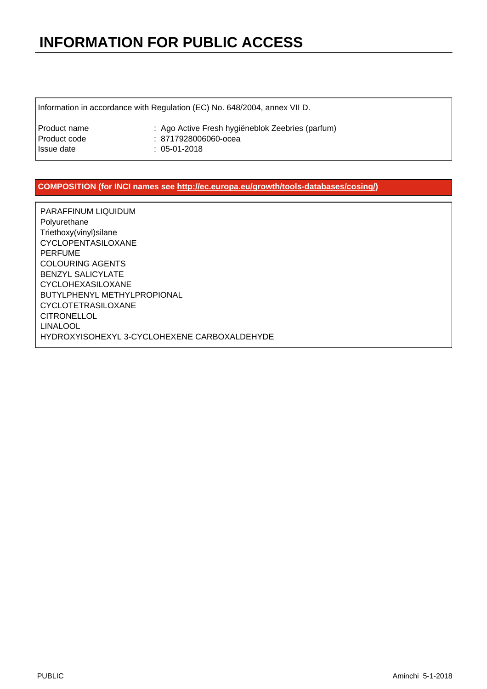Information in accordance with Regulation (EC) No. 648/2004, annex VII D.

| Product name | : Ago Active Fresh hygiëneblok Zeebries (parfum) |
|--------------|--------------------------------------------------|
| Product code | : 8717928006060-ocea                             |
| Issue date   | : 05-01-2018                                     |

#### **COMPOSITION (for INCI names see [http://ec.europa.eu/growth/tools-databases/cosing/\)](http://ec.europa.eu/growth/tools-databases/cosing/)**

PARAFFINUM LIQUIDUM Polyurethane Triethoxy(vinyl)silane CYCLOPENTASILOXANE PERFUME COLOURING AGENTS BENZYL SALICYLATE CYCLOHEXASILOXANE BUTYLPHENYL METHYLPROPIONAL CYCLOTETRASILOXANE CITRONELLOL LINALOOL HYDROXYISOHEXYL 3-CYCLOHEXENE CARBOXALDEHYDE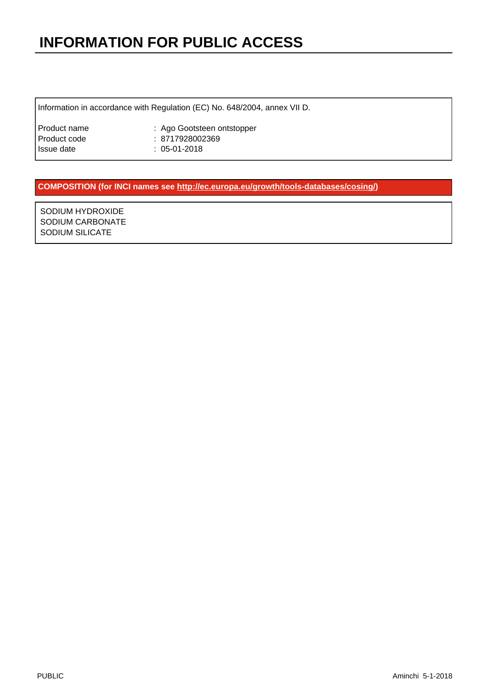Information in accordance with Regulation (EC) No. 648/2004, annex VII D.

| Product name | : Ago Gootsteen ontstopper |
|--------------|----------------------------|
| Product code | : 8717928002369            |
| Issue date   | $: 05-01-2018$             |

#### **COMPOSITION (for INCI names see [http://ec.europa.eu/growth/tools-databases/cosing/\)](http://ec.europa.eu/growth/tools-databases/cosing/)**

SODIUM HYDROXIDE SODIUM CARBONATE SODIUM SILICATE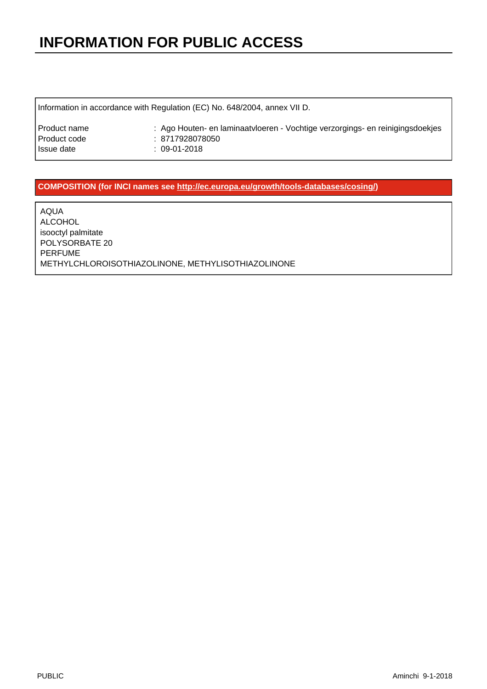Information in accordance with Regulation (EC) No. 648/2004, annex VII D.

| Product name | : Ago Houten- en laminaatvloeren - Vochtige verzorgings- en reinigingsdoekjes |
|--------------|-------------------------------------------------------------------------------|
| Product code | : 8717928078050                                                               |
| Issue date   | : 09-01-2018                                                                  |

#### **COMPOSITION (for INCI names see [http://ec.europa.eu/growth/tools-databases/cosing/\)](http://ec.europa.eu/growth/tools-databases/cosing/)**

AQUA ALCOHOL isooctyl palmitate POLYSORBATE 20 PERFUME METHYLCHLOROISOTHIAZOLINONE, METHYLISOTHIAZOLINONE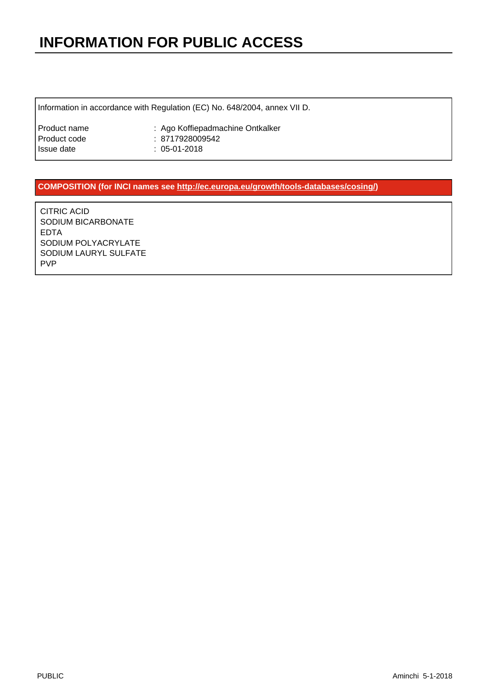Information in accordance with Regulation (EC) No. 648/2004, annex VII D.

| Product name | : Ago Koffiepadmachine Ontkalker |
|--------------|----------------------------------|
| Product code | : 8717928009542                  |
| Issue date   | $: 05-01-2018$                   |

#### **COMPOSITION (for INCI names see [http://ec.europa.eu/growth/tools-databases/cosing/\)](http://ec.europa.eu/growth/tools-databases/cosing/)**

CITRIC ACID SODIUM BICARBONATE EDTA SODIUM POLYACRYLATE SODIUM LAURYL SULFATE PVP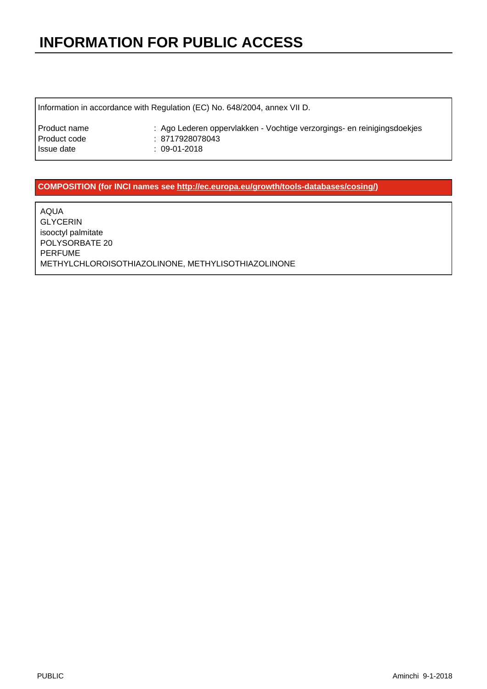Information in accordance with Regulation (EC) No. 648/2004, annex VII D.

| Product name | : Ago Lederen oppervlakken - Vochtige verzorgings- en reinigingsdoekjes |
|--------------|-------------------------------------------------------------------------|
| Product code | : 8717928078043                                                         |
| Issue date   | : 09-01-2018                                                            |

#### **COMPOSITION (for INCI names see [http://ec.europa.eu/growth/tools-databases/cosing/\)](http://ec.europa.eu/growth/tools-databases/cosing/)**

AQUA GLYCERIN isooctyl palmitate POLYSORBATE 20 PERFUME METHYLCHLOROISOTHIAZOLINONE, METHYLISOTHIAZOLINONE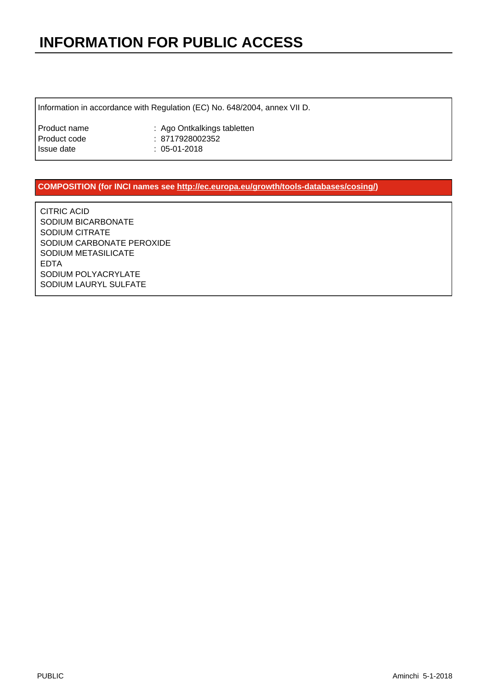Information in accordance with Regulation (EC) No. 648/2004, annex VII D.

| Product name | : Ago Ontkalkings tabletten |
|--------------|-----------------------------|
| Product code | : 8717928002352             |
| Issue date   | $: 05-01-2018$              |

#### **COMPOSITION (for INCI names see [http://ec.europa.eu/growth/tools-databases/cosing/\)](http://ec.europa.eu/growth/tools-databases/cosing/)**

CITRIC ACID SODIUM BICARBONATE SODIUM CITRATE SODIUM CARBONATE PEROXIDE SODIUM METASILICATE EDTA SODIUM POLYACRYLATE SODIUM LAURYL SULFATE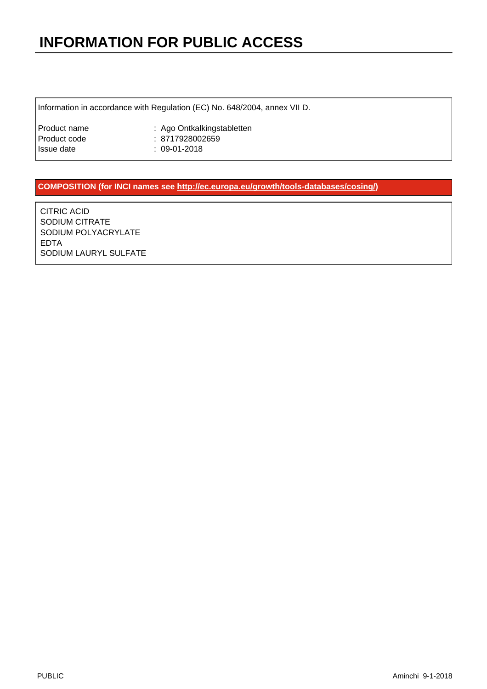Information in accordance with Regulation (EC) No. 648/2004, annex VII D.

| Product name | : Ago Ontkalkingstabletten |
|--------------|----------------------------|
| Product code | : 8717928002659            |
| Issue date   | $: 09-01-2018$             |

#### **COMPOSITION (for INCI names see [http://ec.europa.eu/growth/tools-databases/cosing/\)](http://ec.europa.eu/growth/tools-databases/cosing/)**

CITRIC ACID SODIUM CITRATE SODIUM POLYACRYLATE EDTA SODIUM LAURYL SULFATE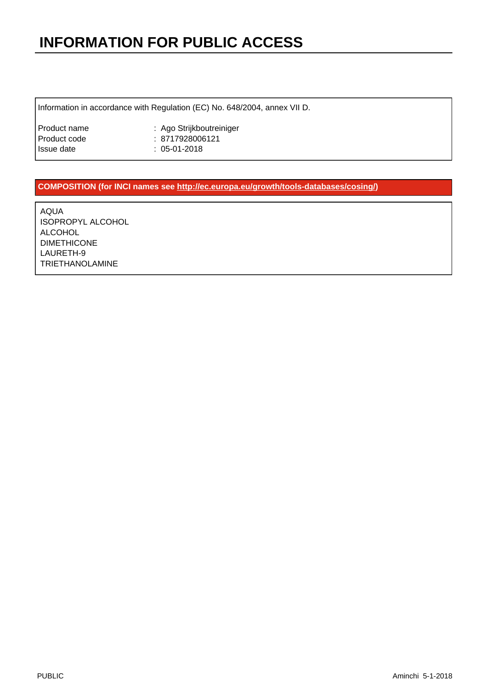Information in accordance with Regulation (EC) No. 648/2004, annex VII D.

| Product name | : Ago Strijkboutreiniger |
|--------------|--------------------------|
| Product code | : 8717928006121          |
| Issue date   | $: 05-01-2018$           |

#### **COMPOSITION (for INCI names see [http://ec.europa.eu/growth/tools-databases/cosing/\)](http://ec.europa.eu/growth/tools-databases/cosing/)**

AQUA ISOPROPYL ALCOHOL ALCOHOL DIMETHICONE LAURETH-9 TRIETHANOLAMINE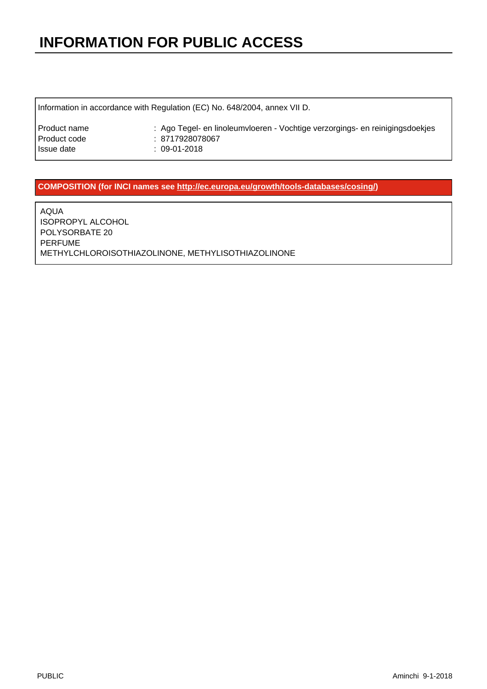Information in accordance with Regulation (EC) No. 648/2004, annex VII D.

| Product name | : Ago Tegel- en linoleumvloeren - Vochtige verzorgings- en reinigingsdoekjes |
|--------------|------------------------------------------------------------------------------|
| Product code | : 8717928078067                                                              |
| Issue date   | : 09-01-2018                                                                 |

#### **COMPOSITION (for INCI names see [http://ec.europa.eu/growth/tools-databases/cosing/\)](http://ec.europa.eu/growth/tools-databases/cosing/)**

AQUA ISOPROPYL ALCOHOL POLYSORBATE 20 PERFUME METHYLCHLOROISOTHIAZOLINONE, METHYLISOTHIAZOLINONE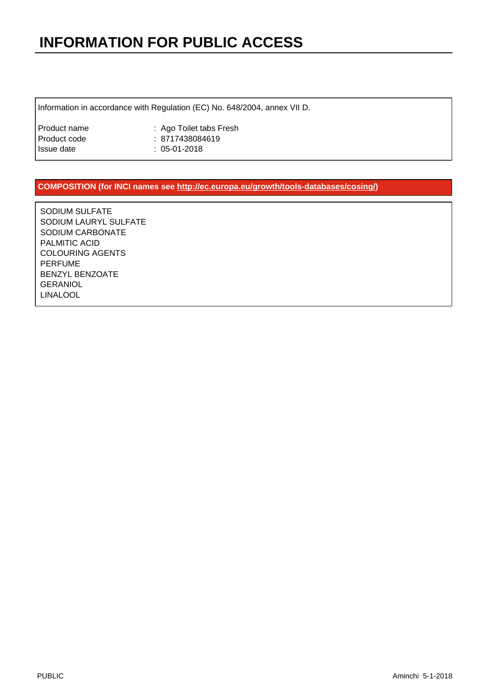Information in accordance with Regulation (EC) No. 648/2004, annex VII D.

| Product name | : Ago Toilet tabs Fresh |
|--------------|-------------------------|
| Product code | : 8717438084619         |
| Issue date   | $: 05-01-2018$          |

#### **COMPOSITION (for INCI names see [http://ec.europa.eu/growth/tools-databases/cosing/\)](http://ec.europa.eu/growth/tools-databases/cosing/)**

SODIUM SULFATE SODIUM LAURYL SULFATE SODIUM CARBONATE PALMITIC ACID COLOURING AGENTS PERFUME BENZYL BENZOATE GERANIOL LINALOOL